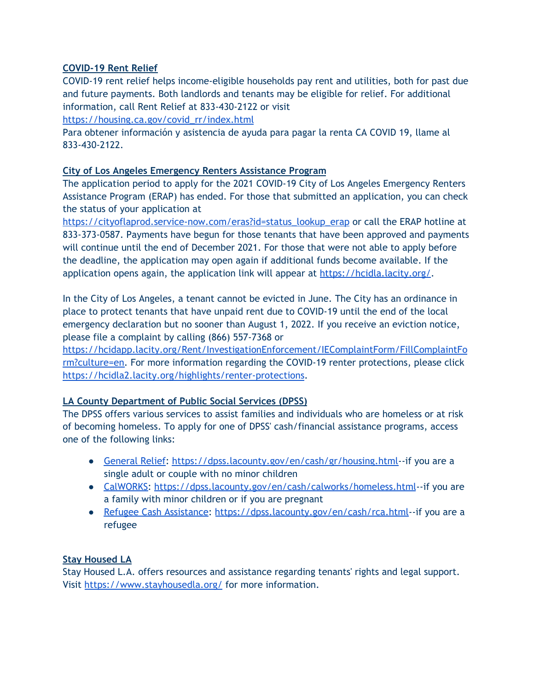# **COVID-19 Rent Relief**

COVID-19 rent relief helps income-eligible households pay rent and utilities, both for past due and future payments. Both landlords and tenants may be eligible for relief. For additional information, call Rent Relief at 833-430-2122 or visit

[https://housing.ca.gov/covid\\_rr/index.html](https://housing.ca.gov/covid_rr/index.html)

Para obtener información y asistencia de ayuda para pagar la renta CA COVID 19, llame al 833-430-2122.

## **City of Los Angeles Emergency Renters Assistance Program**

The application period to apply for the 2021 COVID-19 City of Los Angeles Emergency Renters Assistance Program (ERAP) has ended. For those that submitted an application, you can check the status of your application at

[https://cityoflaprod.service-now.com/eras?id=status\\_lookup\\_erap](https://cityoflaprod.service-now.com/eras?id=status_lookup_erap) or call the ERAP hotline at 833-373-0587. Payments have begun for those tenants that have been approved and payments will continue until the end of December 2021. For those that were not able to apply before the deadline, the application may open again if additional funds become available. If the application opens again, the application link will appear at <https://hcidla.lacity.org/>.

In the City of Los Angeles, a tenant cannot be evicted in June. The City has an ordinance in place to protect tenants that have unpaid rent due to COVID-19 until the end of the local emergency declaration but no sooner than August 1, 2022. If you receive an eviction notice, please file a complaint by calling (866) 557-7368 or

[https://hcidapp.lacity.org/Rent/InvestigationEnforcement/IEComplaintForm/FillComplaintFo](https://hcidapp.lacity.org/Rent/InvestigationEnforcement/IEComplaintForm/FillComplaintForm?culture=en) [rm?culture=en.](https://hcidapp.lacity.org/Rent/InvestigationEnforcement/IEComplaintForm/FillComplaintForm?culture=en) For more information regarding the COVID-19 renter protections, please click <https://hcidla2.lacity.org/highlights/renter-protections>.

## **LA County Department of Public Social Services (DPSS)**

The DPSS offers various services to assist families and individuals who are homeless or at risk of becoming homeless. To apply for one of DPSS' cash/financial assistance programs, access one of the following links:

- [General](https://dpss.lacounty.gov/en/cash/gr/housing.html) Relief: [https://dpss.lacounty.gov/en/cash/gr/housing.html-](https://dpss.lacounty.gov/en/cash/gr/housing.html)-if you are a single adult or couple with no minor children
- [CalWORKS:](https://dpss.lacounty.gov/en/cash/calworks/homeless.html) <https://dpss.lacounty.gov/en/cash/calworks/homeless.html>--if you are a family with minor children or if you are pregnant
- Refugee Cash [Assistance](https://dpss.lacounty.gov/en/cash/rca.html): [https://dpss.lacounty.gov/en/cash/rca.html-](https://dpss.lacounty.gov/en/cash/rca.html)-if you are a refugee

## **Stay Housed LA**

Stay Housed L.A. offers resources and assistance regarding tenants' rights and legal support. Visit <https://www.stayhousedla.org/> for more information.